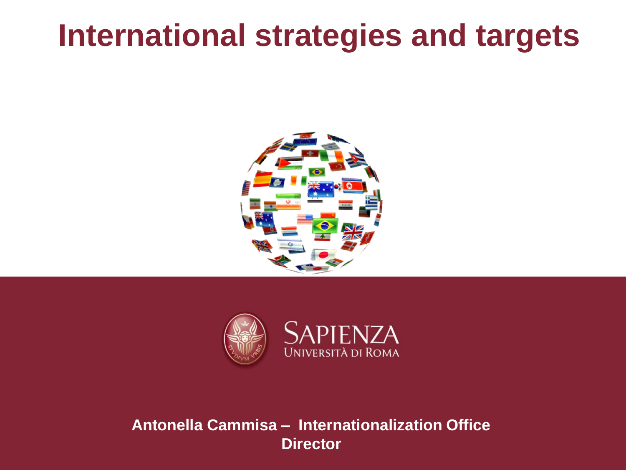# **International strategies and targets**





#### **Antonella Cammisa – Internationalization Office Director**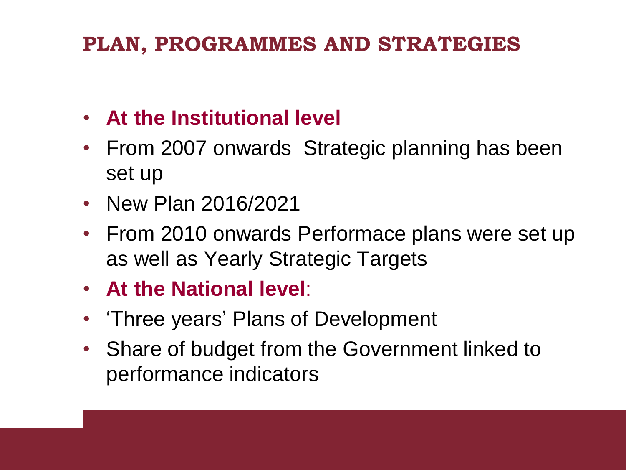### **PLAN, PROGRAMMES AND STRATEGIES**

- **At the Institutional level**
- From 2007 onwards Strategic planning has been set up
- New Plan 2016/2021
- From 2010 onwards Performace plans were set up as well as Yearly Strategic Targets
- **At the National level**:
- 'Three years' Plans of Development
- Share of budget from the Government linked to performance indicators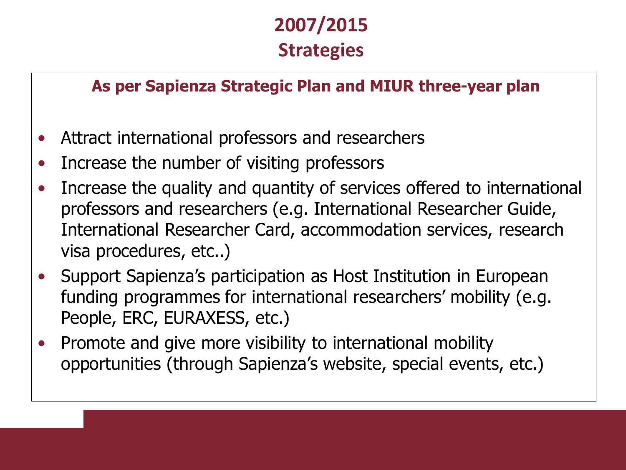### **2007/2015 Strategies**

#### **As per Sapienza Strategic Plan and MIUR three-year plan**

- Attract international professors and researchers
- Increase the number of visiting professors
- Increase the quality and quantity of services offered to international professors and researchers (e.g. International Researcher Guide, International Researcher Card, accommodation services, research visa procedures, etc..)
- Support Sapienza's participation as Host Institution in European funding programmes for international researchers' mobility (e.g. People, ERC, EURAXESS, etc.)
- Promote and give more visibility to international mobility opportunities (through Sapienza's website, special events, etc.)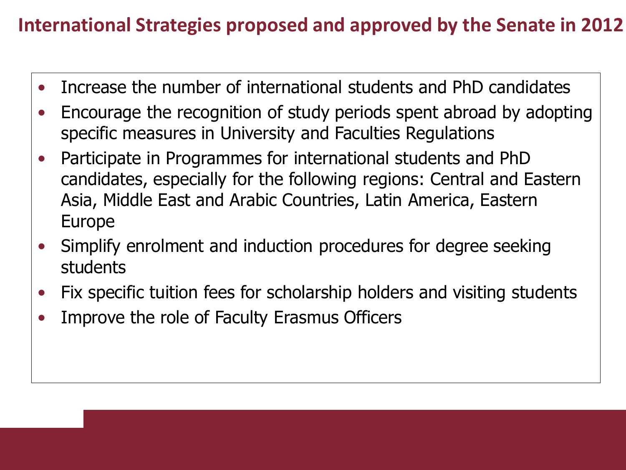#### **International Strategies proposed and approved by the Senate in 2012**

- Increase the number of international students and PhD candidates
- Encourage the recognition of study periods spent abroad by adopting specific measures in University and Faculties Regulations
- Participate in Programmes for international students and PhD candidates, especially for the following regions: Central and Eastern Asia, Middle East and Arabic Countries, Latin America, Eastern Europe
- Simplify enrolment and induction procedures for degree seeking students
- Fix specific tuition fees for scholarship holders and visiting students
- Improve the role of Faculty Erasmus Officers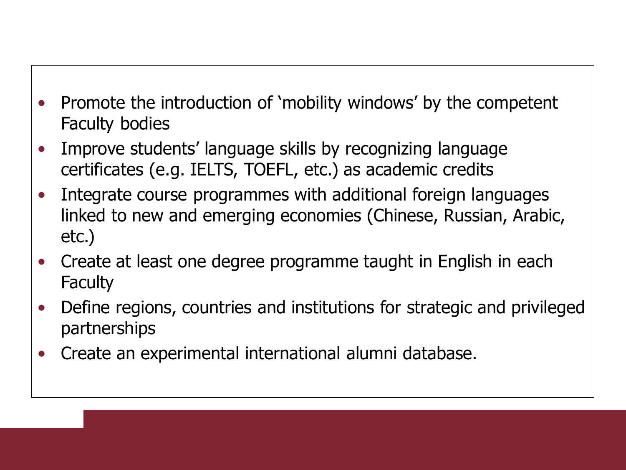- Promote the introduction of 'mobility windows' by the competent Faculty bodies
- Improve students' language skills by recognizing language certificates (e.g. IELTS, TOEFL, etc.) as academic credits
- Integrate course programmes with additional foreign languages linked to new and emerging economies (Chinese, Russian, Arabic, etc.)
- Create at least one degree programme taught in English in each **Faculty**
- Define regions, countries and institutions for strategic and privileged partnerships
- Create an experimental international alumni database.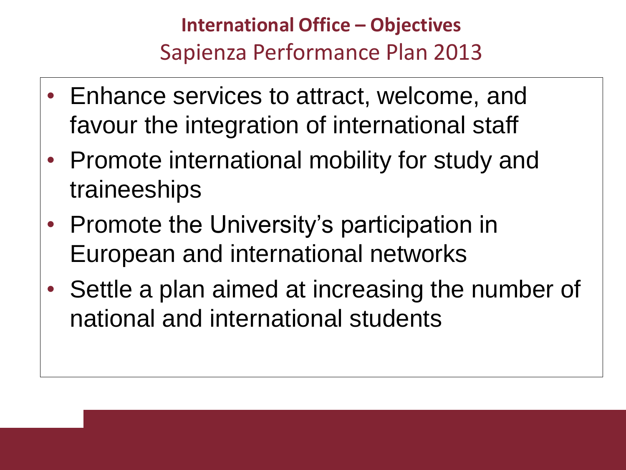## **International Office – Objectives** Sapienza Performance Plan 2013

- Enhance services to attract, welcome, and favour the integration of international staff
- Promote international mobility for study and traineeships
- Promote the University's participation in European and international networks
- Settle a plan aimed at increasing the number of national and international students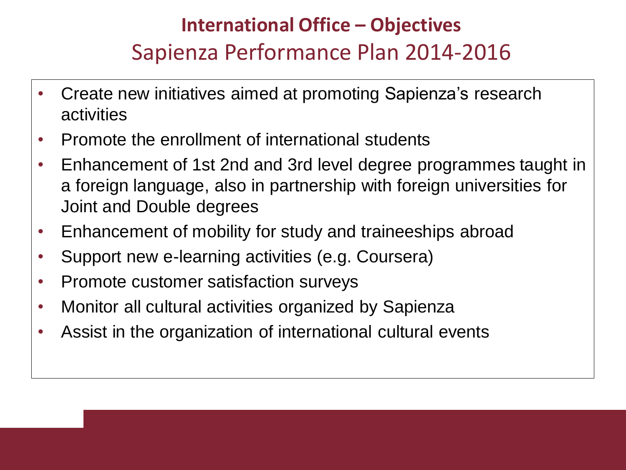## **International Office – Objectives** Sapienza Performance Plan 2014-2016

- Create new initiatives aimed at promoting Sapienza's research activities
- Promote the enrollment of international students
- Enhancement of 1st 2nd and 3rd level degree programmes taught in a foreign language, also in partnership with foreign universities for Joint and Double degrees
- Enhancement of mobility for study and traineeships abroad
- Support new e-learning activities (e.g. Coursera)
- Promote customer satisfaction surveys
- Monitor all cultural activities organized by Sapienza
- Assist in the organization of international cultural events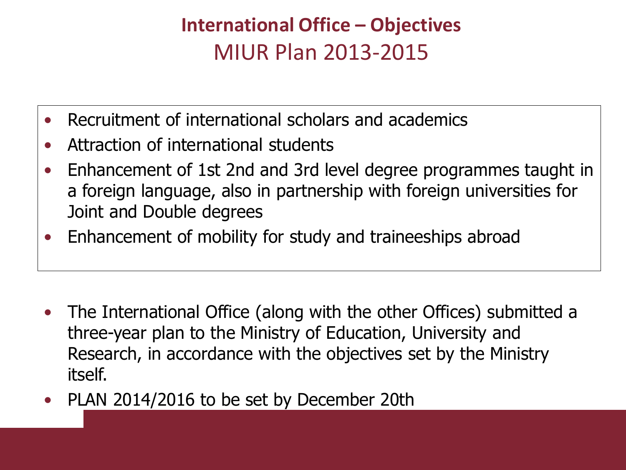## **International Office – Objectives** MIUR Plan 2013-2015

- Recruitment of international scholars and academics
- Attraction of international students
- Enhancement of 1st 2nd and 3rd level degree programmes taught in a foreign language, also in partnership with foreign universities for Joint and Double degrees
- Enhancement of mobility for study and traineeships abroad

- The International Office (along with the other Offices) submitted a three-year plan to the Ministry of Education, University and Research, in accordance with the objectives set by the Ministry itself.
- PLAN 2014/2016 to be set by December 20th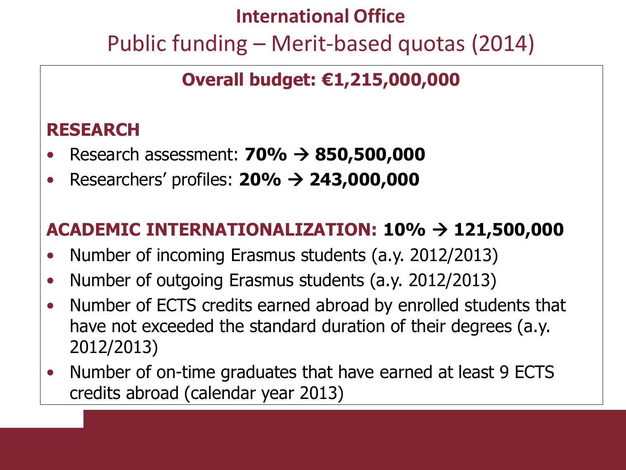# **International Office**  Public funding – Merit-based quotas (2014)

### **Overall budget: €1,215,000,000**

#### **RESEARCH**

- Research assessment: **70% 850,500,000**
- Researchers' profiles: **20% 243,000,000**

#### **ACADEMIC INTERNATIONALIZATION: 10% 121,500,000**

- Number of incoming Erasmus students (a.y. 2012/2013)
- Number of outgoing Erasmus students (a.y. 2012/2013)
- Number of ECTS credits earned abroad by enrolled students that have not exceeded the standard duration of their degrees (a.y. 2012/2013)
- Number of on-time graduates that have earned at least 9 ECTS credits abroad (calendar year 2013)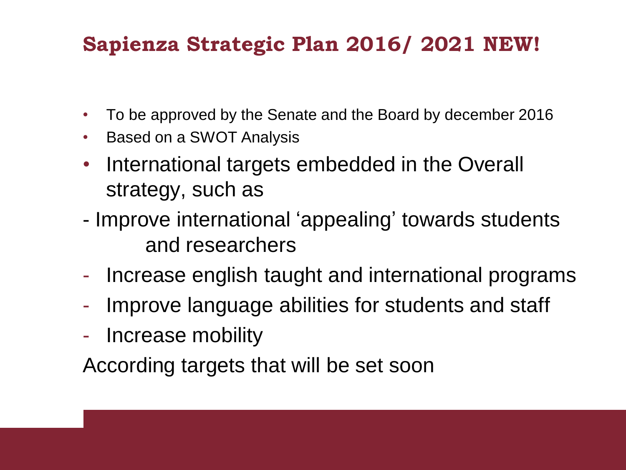### **Sapienza Strategic Plan 2016/ 2021 NEW!**

- To be approved by the Senate and the Board by december 2016
- Based on a SWOT Analysis
- International targets embedded in the Overall strategy, such as
- Improve international 'appealing' towards students and researchers
- Increase english taught and international programs
- Improve language abilities for students and staff
- Increase mobility

According targets that will be set soon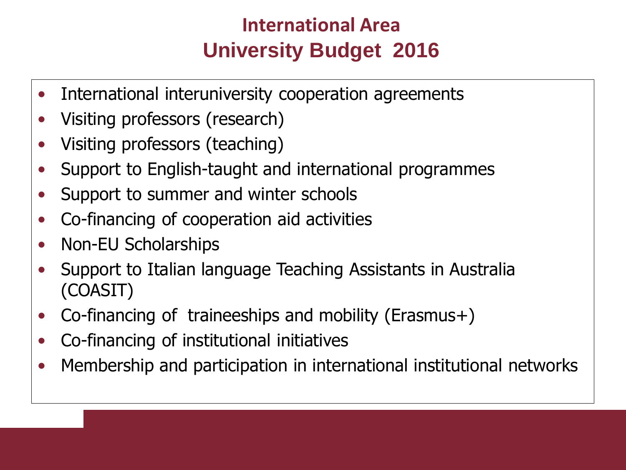### **International Area University Budget 2016**

- International interuniversity cooperation agreements
- Visiting professors (research)
- Visiting professors (teaching)
- Support to English-taught and international programmes
- Support to summer and winter schools
- Co-financing of cooperation aid activities
- Non-EU Scholarships
- Support to Italian language Teaching Assistants in Australia (COASIT)
- Co-financing of traineeships and mobility (Erasmus+)
- Co-financing of institutional initiatives
- Membership and participation in international institutional networks